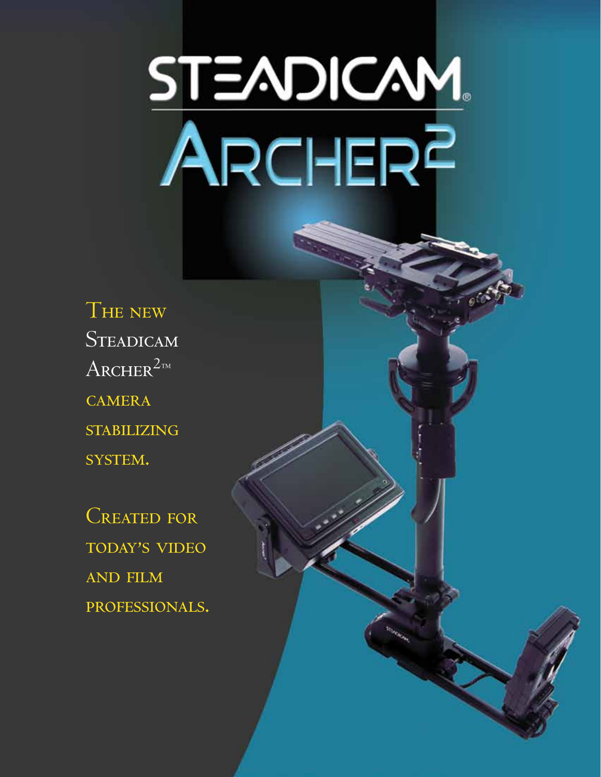# STEADICAM.<br>ARCHERF

THE NEW STEADICAM  $\text{ARCHER}^{\text{2m}}$ **CAMERA STABILIZING** SYSTEM.

**CREATED FOR** TODAY'S VIDEO **AND FILM** PROFESSIONALS.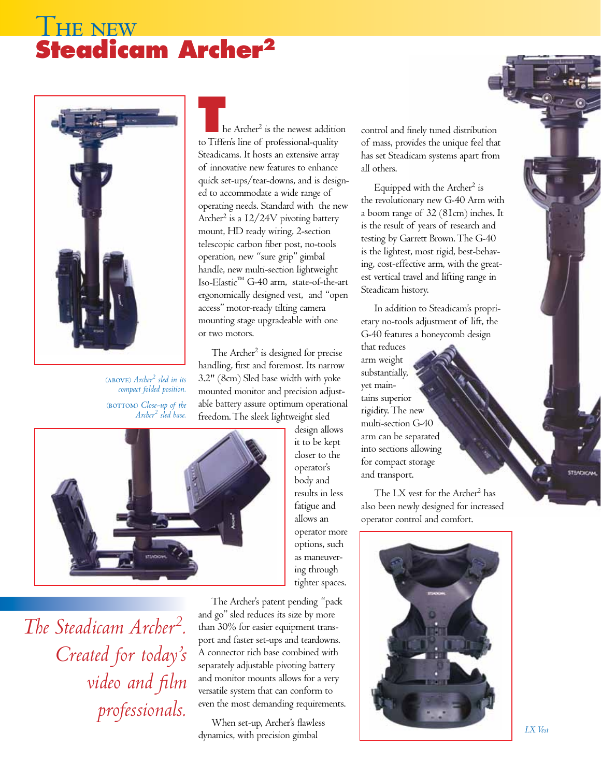# **THE NEW Steadicam Archer2**



⁽above⁾ *Archer2 sled in its compact folded position.* ⁽⁾ *Close-up of the Archer2 sled base.*

**The Archer<sup>2</sup>** is the newest addition to Tiffen's line of professional-quality Steadicams. It hosts an extensive array of innovative new features to enhance quick set-ups/tear-downs, and is designed to accommodate a wide range of operating needs. Standard with the new Archer<sup>2</sup> is a I2/24V pivoting battery mount, HD ready wiring, 2-section telescopic carbon fiber post, no-tools operation, new "sure grip" gimbal handle, new multi-section lightweight Iso-Elastic™ G-40 arm, state-of-the-art ergonomically designed vest, and "open access" motor-ready tilting camera mounting stage upgradeable with one or two motors.

The Archer<sup>2</sup> is designed for precise handling, first and foremost. Its narrow 3.2" (8cm) Sled base width with yoke mounted monitor and precision adjustable battery assure optimum operational freedom. The sleek lightweight sled

> design allows it to be kept closer to the operator's body and results in less fatigue and allows an operator more options, such as maneuvering through tighter spaces.



*The Steadicam Archer2 . Created for today's video and film professionals.*

The Archer's patent pending "pack and go" sled reduces its size by more than 30% for easier equipment transport and faster set-ups and teardowns. A connector rich base combined with separately adjustable pivoting battery and monitor mounts allows for a very versatile system that can conform to even the most demanding requirements.

When set-up, Archer's flawless dynamics, with precision gimbal

control and finely tuned distribution of mass, provides the unique feel that has set Steadicam systems apart from all others.

Equipped with the Archer<sup>2</sup> is the revolutionary new G-40 Arm with a boom range of 32 (81cm) inches. It is the result of years of research and testing by Garrett Brown. The G-40 is the lightest, most rigid, best-behaving, cost-effective arm, with the greatest vertical travel and lifting range in Steadicam history.

In addition to Steadicam's proprietary no-tools adjustment of lift, the G-40 features a honeycomb design

that reduces arm weight substantially, yet maintains superior rigidity. The new multi-section G-40 arm can be separated into sections allowing for compact storage and transport.

The LX vest for the Archer<sup>2</sup> has also been newly designed for increased operator control and comfort.

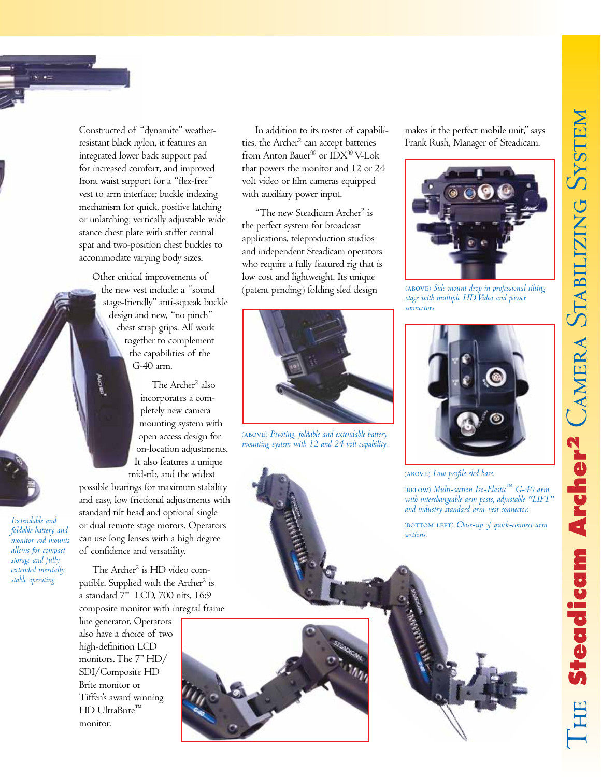

*Extendable and foldable battery and monitor rod mounts allows for compact storage and fully extended inertially stable operating.*

Constructed of "dynamite" weatherresistant black nylon, it features an integrated lower back support pad for increased comfort, and improved front waist support for a "flex-free" vest to arm interface; buckle indexing mechanism for quick, positive latching or unlatching; vertically adjustable wide stance chest plate with stiffer central spar and two-position chest buckles to accommodate varying body sizes.

Other critical improvements of the new vest include: a "sound stage-friendly" anti-squeak buckle design and new, "no pinch" chest strap grips. All work together to complement the capabilities of the G-40 arm.

> The Archer<sup>2</sup> also incorporates a completely new camera mounting system with open access design for on-location adjustments. It also features a unique mid-rib, and the widest

possible bearings for maximum stability and easy, low frictional adjustments with standard tilt head and optional single or dual remote stage motors. Operators can use long lenses with a high degree of confidence and versatility.

The Archer<sup>2</sup> is HD video compatible. Supplied with the Archer<sup>2</sup> is a standard 7" LCD, 700 nits, 16:9 composite monitor with integral frame

line generator. Operators also have a choice of two high-definition LCD monitors. The 7" HD/ SDI/Composite HD Brite monitor or Tiffen's award winning HD UltraBrite™ monitor.

In addition to its roster of capabilities, the Archer<sup>2</sup> can accept batteries from Anton Bauer® or IDX® V-Lok that powers the monitor and 12 or 24 volt video or film cameras equipped with auxiliary power input.

"The new Steadicam Archer<sup>2</sup> is the perfect system for broadcast applications, teleproduction studios and independent Steadicam operators who require a fully featured rig that is low cost and lightweight. Its unique (patent pending) folding sled design



⁽above⁾ *Pivoting, foldable and extendable battery mounting system with 12 and 24 volt capability.*

makes it the perfect mobile unit," says Frank Rush, Manager of Steadicam.



⁽above⁾ *Side mount drop in professional tilting stage with multiple HD Video and power connectors.*



(ABOVE) Low profile sled base.

⁽below⁾ *Multi-section Iso-Elastic™ G-40 arm with interchangeable arm posts, adjustable "LIFT" and industry standard arm-vest connector.*

⁽bottom left⁾ *Close-up of quick-connect arm sections.*